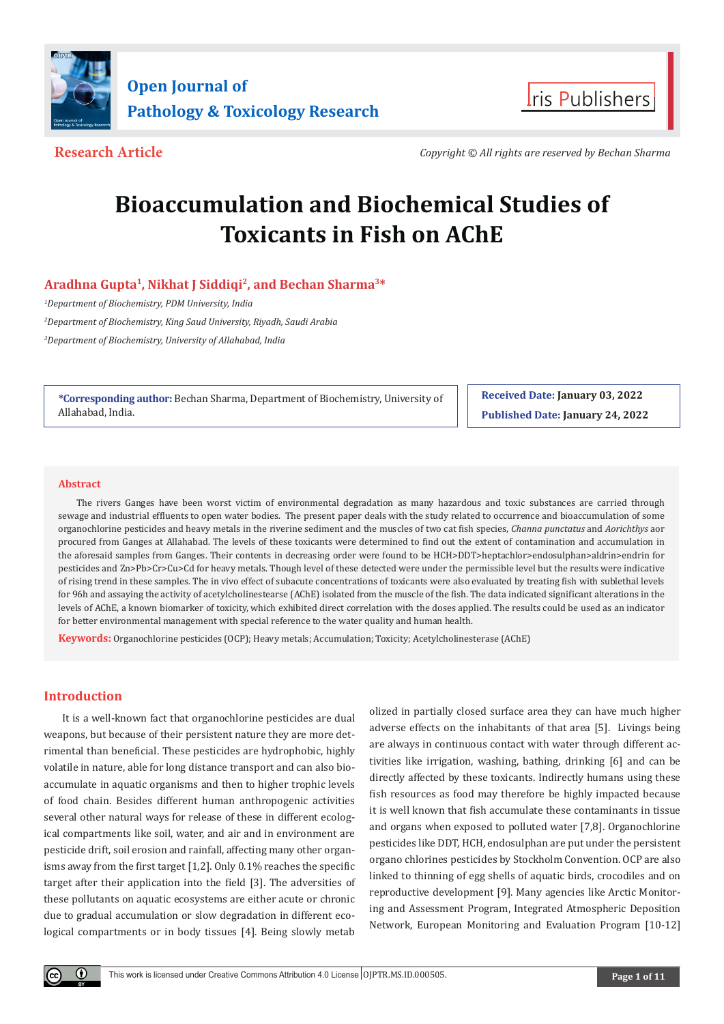



**Research Article** *Copyright © All rights are reserved by Bechan Sharma*

# **Bioaccumulation and Biochemical Studies of Toxicants in Fish on AChE**

# **Aradhna Gupta1, Nikhat J Siddiqi2, and Bechan Sharma3\***

*1 Department of Biochemistry, PDM University, India 2 Department of Biochemistry, King Saud University, Riyadh, Saudi Arabia 3 Department of Biochemistry, University of Allahabad, India*

**\*Corresponding author:** Bechan Sharma, Department of Biochemistry, University of Allahabad, India.

**Received Date: January 03, 2022 Published Date: January 24, 2022**

#### **Abstract**

The rivers Ganges have been worst victim of environmental degradation as many hazardous and toxic substances are carried through sewage and industrial effluents to open water bodies. The present paper deals with the study related to occurrence and bioaccumulation of some organochlorine pesticides and heavy metals in the riverine sediment and the muscles of two cat fish species, *Channa punctatus* and *Aorichthys* aor procured from Ganges at Allahabad. The levels of these toxicants were determined to find out the extent of contamination and accumulation in the aforesaid samples from Ganges. Their contents in decreasing order were found to be HCH>DDT>heptachlor>endosulphan>aldrin>endrin for pesticides and Zn>Pb>Cr>Cu>Cd for heavy metals. Though level of these detected were under the permissible level but the results were indicative of rising trend in these samples. The in vivo effect of subacute concentrations of toxicants were also evaluated by treating fish with sublethal levels for 96h and assaying the activity of acetylcholinestearse (AChE) isolated from the muscle of the fish. The data indicated significant alterations in the levels of AChE, a known biomarker of toxicity, which exhibited direct correlation with the doses applied. The results could be used as an indicator for better environmental management with special reference to the water quality and human health.

**Keywords:** Organochlorine pesticides (OCP); Heavy metals; Accumulation; Toxicity; Acetylcholinesterase (AChE)

## **Introduction**

It is a well-known fact that organochlorine pesticides are dual weapons, but because of their persistent nature they are more detrimental than beneficial. These pesticides are hydrophobic, highly volatile in nature, able for long distance transport and can also bioaccumulate in aquatic organisms and then to higher trophic levels of food chain. Besides different human anthropogenic activities several other natural ways for release of these in different ecological compartments like soil, water, and air and in environment are pesticide drift, soil erosion and rainfall, affecting many other organisms away from the first target [1,2]. Only 0.1% reaches the specific target after their application into the field [3]. The adversities of these pollutants on aquatic ecosystems are either acute or chronic due to gradual accumulation or slow degradation in different ecological compartments or in body tissues [4]. Being slowly metab

olized in partially closed surface area they can have much higher adverse effects on the inhabitants of that area [5]. Livings being are always in continuous contact with water through different activities like irrigation, washing, bathing, drinking [6] and can be directly affected by these toxicants. Indirectly humans using these fish resources as food may therefore be highly impacted because it is well known that fish accumulate these contaminants in tissue and organs when exposed to polluted water [7,8]. Organochlorine pesticides like DDT, HCH, endosulphan are put under the persistent organo chlorines pesticides by Stockholm Convention. OCP are also linked to thinning of egg shells of aquatic birds, crocodiles and on reproductive development [9]. Many agencies like Arctic Monitoring and Assessment Program, Integrated Atmospheric Deposition Network, European Monitoring and Evaluation Program [10-12]

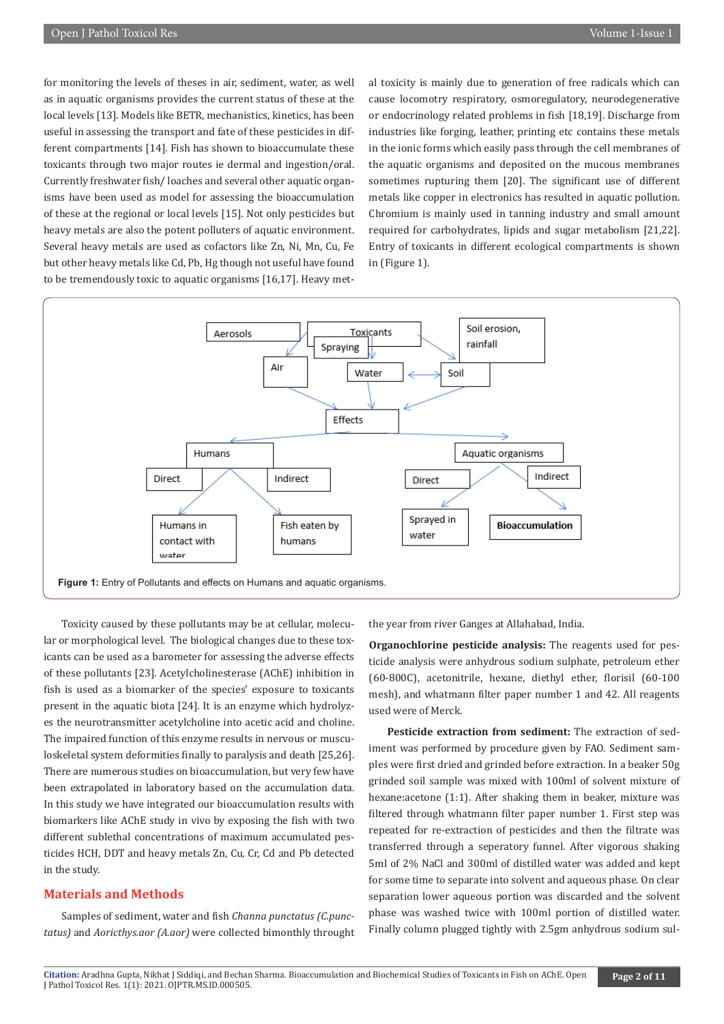for monitoring the levels of theses in air, sediment, water, as well as in aquatic organisms provides the current status of these at the local levels [13]. Models like BETR, mechanistics, kinetics, has been useful in assessing the transport and fate of these pesticides in different compartments [14]. Fish has shown to bioaccumulate these toxicants through two major routes ie dermal and ingestion/oral. Currently freshwater fish/ loaches and several other aquatic organisms have been used as model for assessing the bioaccumulation of these at the regional or local levels [15]. Not only pesticides but heavy metals are also the potent polluters of aquatic environment. Several heavy metals are used as cofactors like Zn, Ni, Mn, Cu, Fe but other heavy metals like Cd, Pb, Hg though not useful have found to be tremendously toxic to aquatic organisms [16,17]. Heavy metal toxicity is mainly due to generation of free radicals which can cause locomotry respiratory, osmoregulatory, neurodegenerative or endocrinology related problems in fish [18,19]. Discharge from industries like forging, leather, printing etc contains these metals in the ionic forms which easily pass through the cell membranes of the aquatic organisms and deposited on the mucous membranes sometimes rupturing them [20]. The significant use of different metals like copper in electronics has resulted in aquatic pollution. Chromium is mainly used in tanning industry and small amount required for carbohydrates, lipids and sugar metabolism [21,22]. Entry of toxicants in different ecological compartments is shown in (Figure 1).



Toxicity caused by these pollutants may be at cellular, molecular or morphological level. The biological changes due to these toxicants can be used as a barometer for assessing the adverse effects of these pollutants [23]. Acetylcholinesterase (AChE) inhibition in fish is used as a biomarker of the species' exposure to toxicants present in the aquatic biota [24]. It is an enzyme which hydrolyzes the neurotransmitter acetylcholine into acetic acid and choline. The impaired function of this enzyme results in nervous or musculoskeletal system deformities finally to paralysis and death [25,26]. There are numerous studies on bioaccumulation, but very few have been extrapolated in laboratory based on the accumulation data. In this study we have integrated our bioaccumulation results with biomarkers like AChE study in vivo by exposing the fish with two different sublethal concentrations of maximum accumulated pesticides HCH, DDT and heavy metals Zn, Cu, Cr, Cd and Pb detected in the study.

#### **Materials and Methods**

Samples of sediment, water and fish *Channa punctatus (C.punctatus)* and *Aoricthys.aor (A.aor)* were collected bimonthly throught the year from river Ganges at Allahabad, India.

**Organochlorine pesticide analysis:** The reagents used for pesticide analysis were anhydrous sodium sulphate, petroleum ether (60-800C), acetonitrile, hexane, diethyl ether, florisil (60-100 mesh), and whatmann filter paper number 1 and 42. All reagents used were of Merck.

**Pesticide extraction from sediment:** The extraction of sediment was performed by procedure given by FAO. Sediment samples were first dried and grinded before extraction. In a beaker 50g grinded soil sample was mixed with 100ml of solvent mixture of hexane:acetone (1:1). After shaking them in beaker, mixture was filtered through whatmann filter paper number 1. First step was repeated for re-extraction of pesticides and then the filtrate was transferred through a seperatory funnel. After vigorous shaking 5ml of 2% NaCl and 300ml of distilled water was added and kept for some time to separate into solvent and aqueous phase. On clear separation lower aqueous portion was discarded and the solvent phase was washed twice with 100ml portion of distilled water. Finally column plugged tightly with 2.5gm anhydrous sodium sul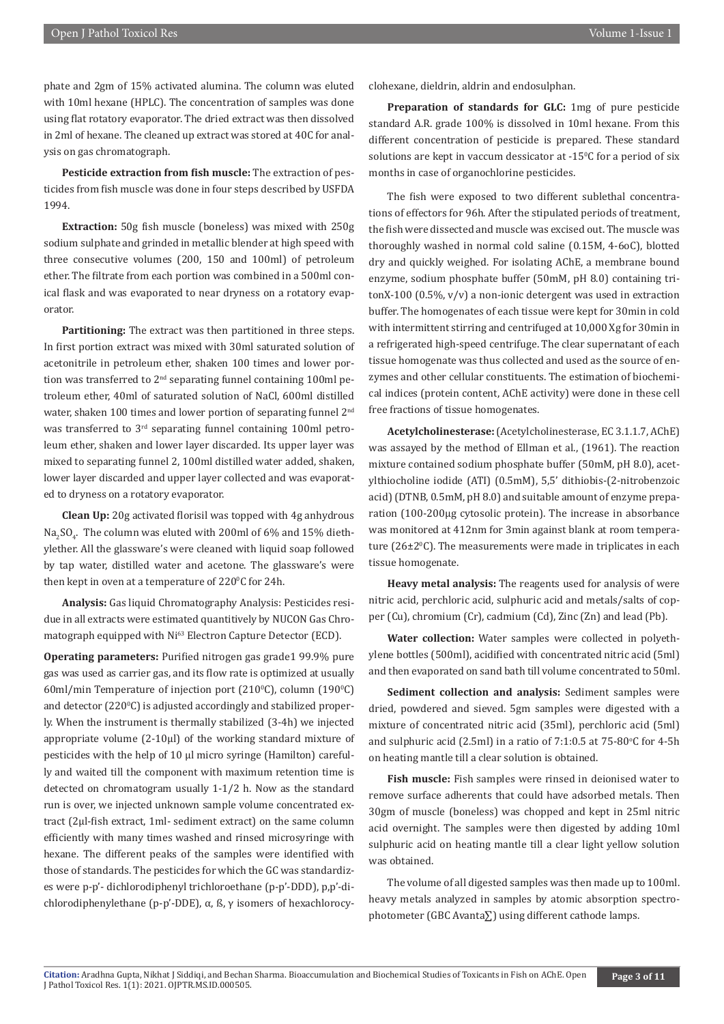phate and 2gm of 15% activated alumina. The column was eluted with 10ml hexane (HPLC). The concentration of samples was done using flat rotatory evaporator. The dried extract was then dissolved in 2ml of hexane. The cleaned up extract was stored at 40C for analysis on gas chromatograph.

**Pesticide extraction from fish muscle:** The extraction of pesticides from fish muscle was done in four steps described by USFDA 1994.

**Extraction:** 50g fish muscle (boneless) was mixed with 250g sodium sulphate and grinded in metallic blender at high speed with three consecutive volumes (200, 150 and 100ml) of petroleum ether. The filtrate from each portion was combined in a 500ml conical flask and was evaporated to near dryness on a rotatory evaporator.

**Partitioning:** The extract was then partitioned in three steps. In first portion extract was mixed with 30ml saturated solution of acetonitrile in petroleum ether, shaken 100 times and lower portion was transferred to 2<sup>nd</sup> separating funnel containing 100ml petroleum ether, 40ml of saturated solution of NaCl, 600ml distilled water, shaken 100 times and lower portion of separating funnel 2<sup>nd</sup> was transferred to 3<sup>rd</sup> separating funnel containing 100ml petroleum ether, shaken and lower layer discarded. Its upper layer was mixed to separating funnel 2, 100ml distilled water added, shaken, lower layer discarded and upper layer collected and was evaporated to dryness on a rotatory evaporator.

**Clean Up:** 20g activated florisil was topped with 4g anhydrous  $\text{Na}_2\text{SO}_4$ . The column was eluted with 200ml of 6% and 15% diethylether. All the glassware's were cleaned with liquid soap followed by tap water, distilled water and acetone. The glassware's were then kept in oven at a temperature of  $220^{\circ}$ C for 24h.

**Analysis:** Gas liquid Chromatography Analysis: Pesticides residue in all extracts were estimated quantitively by NUCON Gas Chromatograph equipped with Ni<sup>63</sup> Electron Capture Detector (ECD).

**Operating parameters:** Purified nitrogen gas grade1 99.9% pure gas was used as carrier gas, and its flow rate is optimized at usually  $60$ ml/min Temperature of injection port (210<sup>o</sup>C), column (190<sup>o</sup>C) and detector ( $220^{\circ}$ C) is adjusted accordingly and stabilized properly. When the instrument is thermally stabilized (3-4h) we injected appropriate volume (2-10µl) of the working standard mixture of pesticides with the help of 10 µl micro syringe (Hamilton) carefully and waited till the component with maximum retention time is detected on chromatogram usually 1-1/2 h. Now as the standard run is over, we injected unknown sample volume concentrated extract (2µl-fish extract, 1ml- sediment extract) on the same column efficiently with many times washed and rinsed microsyringe with hexane. The different peaks of the samples were identified with those of standards. The pesticides for which the GC was standardizes were p-p'- dichlorodiphenyl trichloroethane (p-p'-DDD), p,p'-dichlorodiphenylethane (p-p'-DDE), α, ß, γ isomers of hexachlorocyclohexane, dieldrin, aldrin and endosulphan.

**Preparation of standards for GLC:** 1mg of pure pesticide standard A.R. grade 100% is dissolved in 10ml hexane. From this different concentration of pesticide is prepared. These standard solutions are kept in vaccum dessicator at  $-15^{\circ}$ C for a period of six months in case of organochlorine pesticides.

The fish were exposed to two different sublethal concentrations of effectors for 96h. After the stipulated periods of treatment, the fish were dissected and muscle was excised out. The muscle was thoroughly washed in normal cold saline (0.15M, 4-6oC), blotted dry and quickly weighed. For isolating AChE, a membrane bound enzyme, sodium phosphate buffer (50mM, pH 8.0) containing tritonX-100 (0.5%, v/v) a non-ionic detergent was used in extraction buffer. The homogenates of each tissue were kept for 30min in cold with intermittent stirring and centrifuged at 10,000 Xg for 30min in a refrigerated high-speed centrifuge. The clear supernatant of each tissue homogenate was thus collected and used as the source of enzymes and other cellular constituents. The estimation of biochemical indices (protein content, AChE activity) were done in these cell free fractions of tissue homogenates.

**Acetylcholinesterase:** (Acetylcholinesterase, EC 3.1.1.7, AChE) was assayed by the method of Ellman et al., (1961). The reaction mixture contained sodium phosphate buffer (50mM, pH 8.0), acetylthiocholine iodide (ATI) (0.5mM), 5,5' dithiobis-(2-nitrobenzoic acid) (DTNB, 0.5mM, pH 8.0) and suitable amount of enzyme preparation (100-200µg cytosolic protein). The increase in absorbance was monitored at 412nm for 3min against blank at room temperature (26±20 C). The measurements were made in triplicates in each tissue homogenate.

**Heavy metal analysis:** The reagents used for analysis of were nitric acid, perchloric acid, sulphuric acid and metals/salts of copper (Cu), chromium (Cr), cadmium (Cd), Zinc (Zn) and lead (Pb).

**Water collection:** Water samples were collected in polyethylene bottles (500ml), acidified with concentrated nitric acid (5ml) and then evaporated on sand bath till volume concentrated to 50ml.

**Sediment collection and analysis:** Sediment samples were dried, powdered and sieved. 5gm samples were digested with a mixture of concentrated nitric acid (35ml), perchloric acid (5ml) and sulphuric acid (2.5ml) in a ratio of  $7:1:0.5$  at  $75$ -80°C for 4-5h on heating mantle till a clear solution is obtained.

**Fish muscle:** Fish samples were rinsed in deionised water to remove surface adherents that could have adsorbed metals. Then 30gm of muscle (boneless) was chopped and kept in 25ml nitric acid overnight. The samples were then digested by adding 10ml sulphuric acid on heating mantle till a clear light yellow solution was obtained.

The volume of all digested samples was then made up to 100ml. heavy metals analyzed in samples by atomic absorption spectrophotometer (GBC Avanta∑) using different cathode lamps.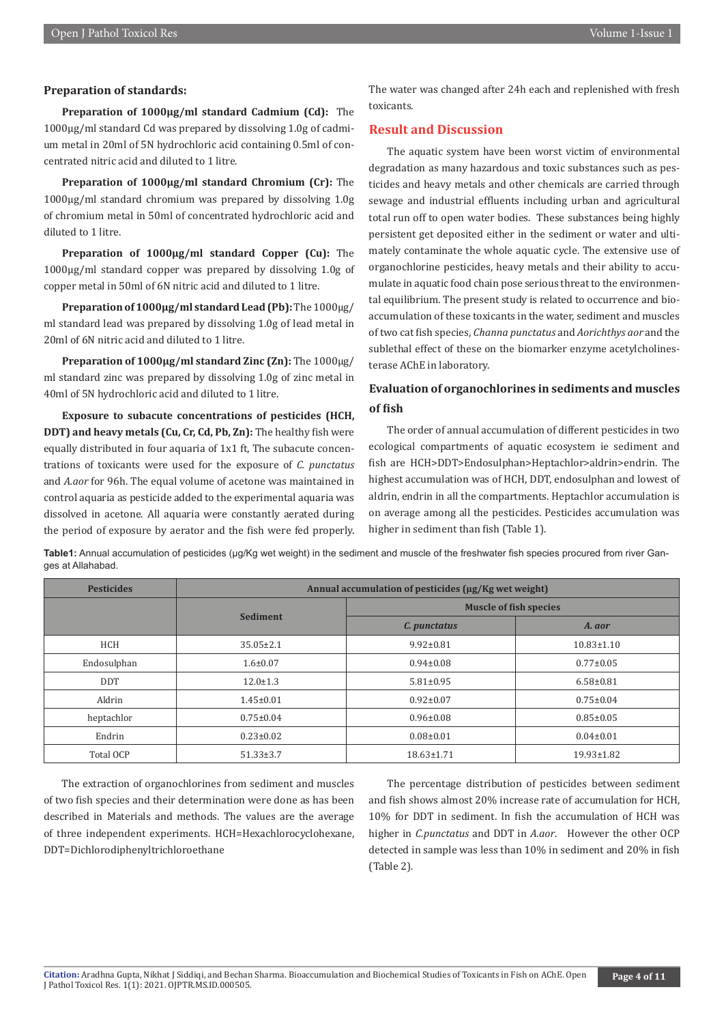#### **Preparation of standards:**

**Preparation of 1000µg/ml standard Cadmium (Cd):** The 1000µg/ml standard Cd was prepared by dissolving 1.0g of cadmium metal in 20ml of 5N hydrochloric acid containing 0.5ml of concentrated nitric acid and diluted to 1 litre.

**Preparation of 1000µg/ml standard Chromium (Cr):** The 1000µg/ml standard chromium was prepared by dissolving 1.0g of chromium metal in 50ml of concentrated hydrochloric acid and diluted to 1 litre.

**Preparation of 1000µg/ml standard Copper (Cu):** The 1000µg/ml standard copper was prepared by dissolving 1.0g of copper metal in 50ml of 6N nitric acid and diluted to 1 litre.

**Preparation of 1000µg/ml standard Lead (Pb):** The 1000µg/ ml standard lead was prepared by dissolving 1.0g of lead metal in 20ml of 6N nitric acid and diluted to 1 litre.

**Preparation of 1000µg/ml standard Zinc (Zn):** The 1000µg/ ml standard zinc was prepared by dissolving 1.0g of zinc metal in 40ml of 5N hydrochloric acid and diluted to 1 litre.

**Exposure to subacute concentrations of pesticides (HCH, DDT) and heavy metals (Cu, Cr, Cd, Pb, Zn):** The healthy fish were equally distributed in four aquaria of 1x1 ft, The subacute concentrations of toxicants were used for the exposure of *C. punctatus* and *A.aor* for 96h. The equal volume of acetone was maintained in control aquaria as pesticide added to the experimental aquaria was dissolved in acetone. All aquaria were constantly aerated during the period of exposure by aerator and the fish were fed properly.

The water was changed after 24h each and replenished with fresh toxicants.

#### **Result and Discussion**

The aquatic system have been worst victim of environmental degradation as many hazardous and toxic substances such as pesticides and heavy metals and other chemicals are carried through sewage and industrial effluents including urban and agricultural total run off to open water bodies. These substances being highly persistent get deposited either in the sediment or water and ultimately contaminate the whole aquatic cycle. The extensive use of organochlorine pesticides, heavy metals and their ability to accumulate in aquatic food chain pose serious threat to the environmental equilibrium. The present study is related to occurrence and bioaccumulation of these toxicants in the water, sediment and muscles of two cat fish species, *Channa punctatus* and *Aorichthys aor* and the sublethal effect of these on the biomarker enzyme acetylcholinesterase AChE in laboratory.

# **Evaluation of organochlorines in sediments and muscles of fish**

The order of annual accumulation of different pesticides in two ecological compartments of aquatic ecosystem ie sediment and fish are HCH>DDT>Endosulphan>Heptachlor>aldrin>endrin. The highest accumulation was of HCH, DDT, endosulphan and lowest of aldrin, endrin in all the compartments. Heptachlor accumulation is on average among all the pesticides. Pesticides accumulation was higher in sediment than fish (Table 1).

**Table1:** Annual accumulation of pesticides (µg/Kg wet weight) in the sediment and muscle of the freshwater fish species procured from river Ganges at Allahabad.

| <b>Pesticides</b> | Annual accumulation of pesticides (µg/Kg wet weight) |                               |                  |  |
|-------------------|------------------------------------------------------|-------------------------------|------------------|--|
|                   | <b>Sediment</b>                                      | <b>Muscle of fish species</b> |                  |  |
|                   |                                                      | C. punctatus                  | A. aor           |  |
| HCH               | $35.05 \pm 2.1$                                      | $9.92 \pm 0.81$               | $10.83 \pm 1.10$ |  |
| Endosulphan       | $1.6 \pm 0.07$                                       | $0.94 \pm 0.08$               | $0.77 \pm 0.05$  |  |
| <b>DDT</b>        | $12.0 \pm 1.3$                                       | $5.81 \pm 0.95$               | $6.58 \pm 0.81$  |  |
| Aldrin            | $1.45 \pm 0.01$                                      | $0.92 \pm 0.07$               | $0.75 \pm 0.04$  |  |
| heptachlor        | $0.75 \pm 0.04$                                      | $0.96 \pm 0.08$               | $0.85 \pm 0.05$  |  |
| Endrin            | $0.23 \pm 0.02$                                      | $0.08 \pm 0.01$               | $0.04 \pm 0.01$  |  |
| Total OCP         | $51.33 \pm 3.7$                                      | $18.63 \pm 1.71$              | $19.93 \pm 1.82$ |  |

The extraction of organochlorines from sediment and muscles of two fish species and their determination were done as has been described in Materials and methods. The values are the average of three independent experiments. HCH=Hexachlorocyclohexane, DDT=Dichlorodiphenyltrichloroethane

The percentage distribution of pesticides between sediment and fish shows almost 20% increase rate of accumulation for HCH, 10% for DDT in sediment. In fish the accumulation of HCH was higher in *C.punctatus* and DDT in *A.aor*. However the other OCP detected in sample was less than 10% in sediment and 20% in fish (Table 2).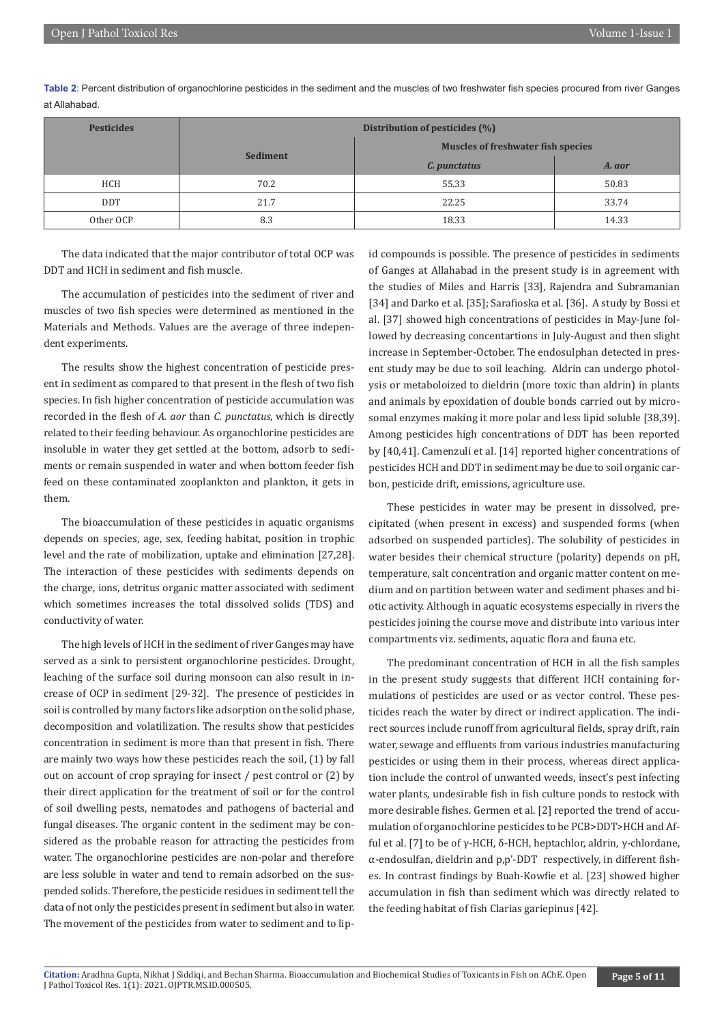**Pesticides Distribution of pesticides (%) Sediment Muscles of freshwater fish species** *C. punctatus A. aor* HCH  $10.2$  70.2 55.33 50.83 DDT 21.7 22.25 33.74

Other OCP  $8.3$  8.3 18.33 18.33 19.33 14.33

**Table 2**: Percent distribution of organochlorine pesticides in the sediment and the muscles of two freshwater fish species procured from river Ganges at Allahabad.

The data indicated that the major contributor of total OCP was DDT and HCH in sediment and fish muscle.

The accumulation of pesticides into the sediment of river and muscles of two fish species were determined as mentioned in the Materials and Methods. Values are the average of three independent experiments.

The results show the highest concentration of pesticide present in sediment as compared to that present in the flesh of two fish species. In fish higher concentration of pesticide accumulation was recorded in the flesh of *A. aor* than *C. punctatus*, which is directly related to their feeding behaviour. As organochlorine pesticides are insoluble in water they get settled at the bottom, adsorb to sediments or remain suspended in water and when bottom feeder fish feed on these contaminated zooplankton and plankton, it gets in them.

The bioaccumulation of these pesticides in aquatic organisms depends on species, age, sex, feeding habitat, position in trophic level and the rate of mobilization, uptake and elimination [27,28]. The interaction of these pesticides with sediments depends on the charge, ions, detritus organic matter associated with sediment which sometimes increases the total dissolved solids (TDS) and conductivity of water.

The high levels of HCH in the sediment of river Ganges may have served as a sink to persistent organochlorine pesticides. Drought, leaching of the surface soil during monsoon can also result in increase of OCP in sediment [29-32]. The presence of pesticides in soil is controlled by many factors like adsorption on the solid phase, decomposition and volatilization. The results show that pesticides concentration in sediment is more than that present in fish. There are mainly two ways how these pesticides reach the soil, (1) by fall out on account of crop spraying for insect / pest control or (2) by their direct application for the treatment of soil or for the control of soil dwelling pests, nematodes and pathogens of bacterial and fungal diseases. The organic content in the sediment may be considered as the probable reason for attracting the pesticides from water. The organochlorine pesticides are non-polar and therefore are less soluble in water and tend to remain adsorbed on the suspended solids. Therefore, the pesticide residues in sediment tell the data of not only the pesticides present in sediment but also in water. The movement of the pesticides from water to sediment and to lipid compounds is possible. The presence of pesticides in sediments of Ganges at Allahabad in the present study is in agreement with the studies of Miles and Harris [33], Rajendra and Subramanian [34] and Darko et al. [35]; Sarafioska et al. [36]. A study by Bossi et al. [37] showed high concentrations of pesticides in May-June followed by decreasing concentartions in July-August and then slight increase in September-October. The endosulphan detected in present study may be due to soil leaching. Aldrin can undergo photolysis or metaboloized to dieldrin (more toxic than aldrin) in plants and animals by epoxidation of double bonds carried out by microsomal enzymes making it more polar and less lipid soluble [38,39]. Among pesticides high concentrations of DDT has been reported by [40,41]. Camenzuli et al. [14] reported higher concentrations of pesticides HCH and DDT in sediment may be due to soil organic carbon, pesticide drift, emissions, agriculture use.

These pesticides in water may be present in dissolved, precipitated (when present in excess) and suspended forms (when adsorbed on suspended particles). The solubility of pesticides in water besides their chemical structure (polarity) depends on pH, temperature, salt concentration and organic matter content on medium and on partition between water and sediment phases and biotic activity. Although in aquatic ecosystems especially in rivers the pesticides joining the course move and distribute into various inter compartments viz. sediments, aquatic flora and fauna etc.

The predominant concentration of HCH in all the fish samples in the present study suggests that different HCH containing formulations of pesticides are used or as vector control. These pesticides reach the water by direct or indirect application. The indirect sources include runoff from agricultural fields, spray drift, rain water, sewage and effluents from various industries manufacturing pesticides or using them in their process, whereas direct application include the control of unwanted weeds, insect's pest infecting water plants, undesirable fish in fish culture ponds to restock with more desirable fishes. Germen et al. [2] reported the trend of accumulation of organochlorine pesticides to be PCB>DDT>HCH and Afful et al. [7] to be of γ-HCH, δ-HCH, heptachlor, aldrin, γ-chlordane, α-endosulfan, dieldrin and p,p'-DDT respectively, in different fishes. In contrast findings by Buah-Kowfie et al. [23] showed higher accumulation in fish than sediment which was directly related to the feeding habitat of fish Clarias gariepinus [42].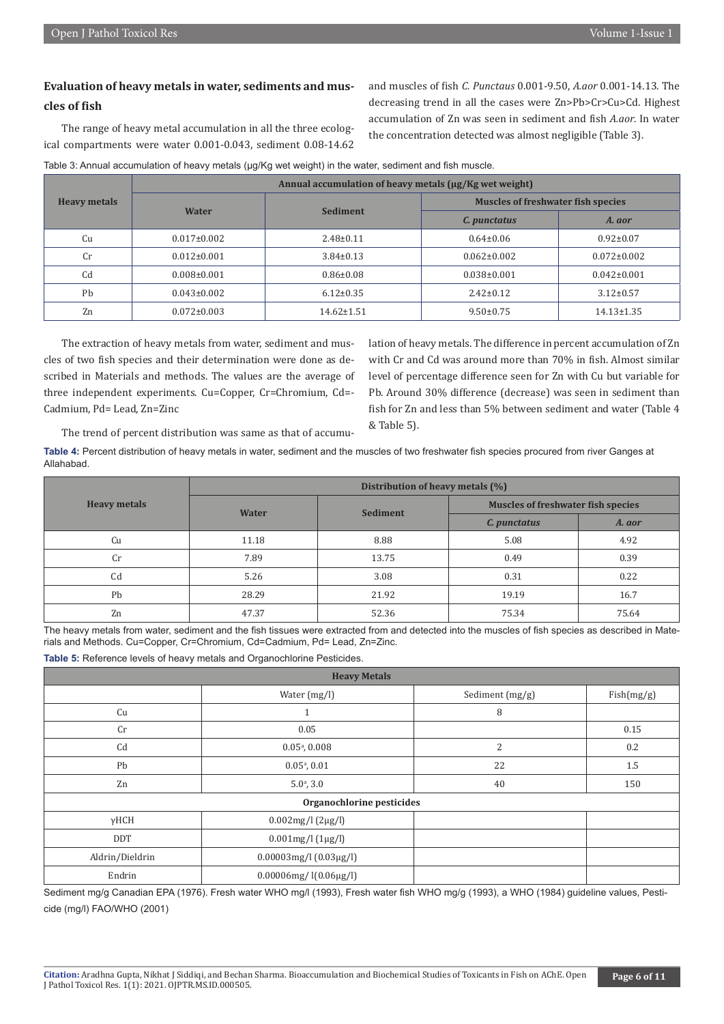# **Evaluation of heavy metals in water, sediments and muscles of fish**

and muscles of fish *C. Punctaus* 0.001-9.50, *A.aor* 0.001-14.13. The decreasing trend in all the cases were Zn>Pb>Cr>Cu>Cd. Highest accumulation of Zn was seen in sediment and fish *A.aor*. In water the concentration detected was almost negligible (Table 3).

The range of heavy metal accumulation in all the three ecological compartments were water 0.001-0.043, sediment 0.08-14.62

| Table 3: Annual accumulation of heavy metals (µg/Kg wet weight) in the water, sediment and fish muscle. |  |  |
|---------------------------------------------------------------------------------------------------------|--|--|
|                                                                                                         |  |  |

|                     | Annual accumulation of heavy metals (µg/Kg wet weight) |                  |                                           |                   |  |  |
|---------------------|--------------------------------------------------------|------------------|-------------------------------------------|-------------------|--|--|
| <b>Heavy metals</b> | <b>Water</b>                                           |                  | <b>Muscles of freshwater fish species</b> |                   |  |  |
|                     |                                                        | <b>Sediment</b>  | C. punctatus                              | A. gor            |  |  |
| Cu                  | $0.017 \pm 0.002$                                      | $2.48 \pm 0.11$  | $0.64 \pm 0.06$                           | $0.92 \pm 0.07$   |  |  |
| Cr                  | $0.012 \pm 0.001$                                      | $3.84 \pm 0.13$  | $0.062 \pm 0.002$                         | $0.072 \pm 0.002$ |  |  |
| C <sub>d</sub>      | $0.008 \pm 0.001$                                      | $0.86 \pm 0.08$  | $0.038 \pm 0.001$                         | $0.042 \pm 0.001$ |  |  |
| Ph                  | $0.043 \pm 0.002$                                      | $6.12 \pm 0.35$  | $2.42 \pm 0.12$                           | $3.12 \pm 0.57$   |  |  |
| Zn                  | $0.072 \pm 0.003$                                      | $14.62 \pm 1.51$ | $9.50 \pm 0.75$                           | $14.13 \pm 1.35$  |  |  |

The extraction of heavy metals from water, sediment and muscles of two fish species and their determination were done as described in Materials and methods. The values are the average of three independent experiments. Cu=Copper, Cr=Chromium, Cd=- Cadmium, Pd= Lead, Zn=Zinc

lation of heavy metals. The difference in percent accumulation of Zn with Cr and Cd was around more than 70% in fish. Almost similar level of percentage difference seen for Zn with Cu but variable for Pb. Around 30% difference (decrease) was seen in sediment than fish for Zn and less than 5% between sediment and water (Table 4 & Table 5).

The trend of percent distribution was same as that of accumu-

**Table 4:** Percent distribution of heavy metals in water, sediment and the muscles of two freshwater fish species procured from river Ganges at Allahabad.

| <b>Heavy metals</b> | Distribution of heavy metals (%) |          |                                           |        |  |
|---------------------|----------------------------------|----------|-------------------------------------------|--------|--|
|                     | <b>Water</b>                     | Sediment | <b>Muscles of freshwater fish species</b> |        |  |
|                     |                                  |          | C. punctatus                              | A. aor |  |
| Cu                  | 11.18                            | 8.88     | 5.08                                      | 4.92   |  |
| Cr                  | 7.89                             | 13.75    | 0.49                                      | 0.39   |  |
| C <sub>d</sub>      | 5.26                             | 3.08     | 0.31                                      | 0.22   |  |
| Pb                  | 28.29                            | 21.92    | 19.19                                     | 16.7   |  |
| Zn                  | 47.37                            | 52.36    | 75.34                                     | 75.64  |  |

The heavy metals from water, sediment and the fish tissues were extracted from and detected into the muscles of fish species as described in Materials and Methods. Cu=Copper, Cr=Chromium, Cd=Cadmium, Pd= Lead, Zn=Zinc.

**Table 5:** Reference levels of heavy metals and Organochlorine Pesticides.

| <b>Heavy Metals</b>       |                                 |                 |            |  |  |  |
|---------------------------|---------------------------------|-----------------|------------|--|--|--|
|                           | Water (mg/l)                    | Sediment (mg/g) | Fish(mg/g) |  |  |  |
| Cu                        | 1                               | 8               |            |  |  |  |
| Cr                        | 0.05                            |                 | 0.15       |  |  |  |
| Cd                        | $0.05^{\text{a}}$ , 0.008       | 2               | 0.2        |  |  |  |
| Pb                        | $0.05^{\circ}, 0.01$            | 22              | 1.5        |  |  |  |
| Zn                        | $5.0^{\circ}, 3.0^{\circ}$      | 40              | 150        |  |  |  |
| Organochlorine pesticides |                                 |                 |            |  |  |  |
| $\gamma$ HCH              | $0.002mg/l (2\mu g/l)$          |                 |            |  |  |  |
| <b>DDT</b>                | $0.001mg/l(1\mu g/l)$           |                 |            |  |  |  |
| Aldrin/Dieldrin           | $0.00003$ mg/l $(0.03 \mu g/l)$ |                 |            |  |  |  |
| Endrin                    | $0.00006$ mg/ $1(0.06 \mu g/l)$ |                 |            |  |  |  |

Sediment mg/g Canadian EPA (1976). Fresh water WHO mg/l (1993), Fresh water fish WHO mg/g (1993), a WHO (1984) guideline values, Pesticide (mg/l) FAO/WHO (2001)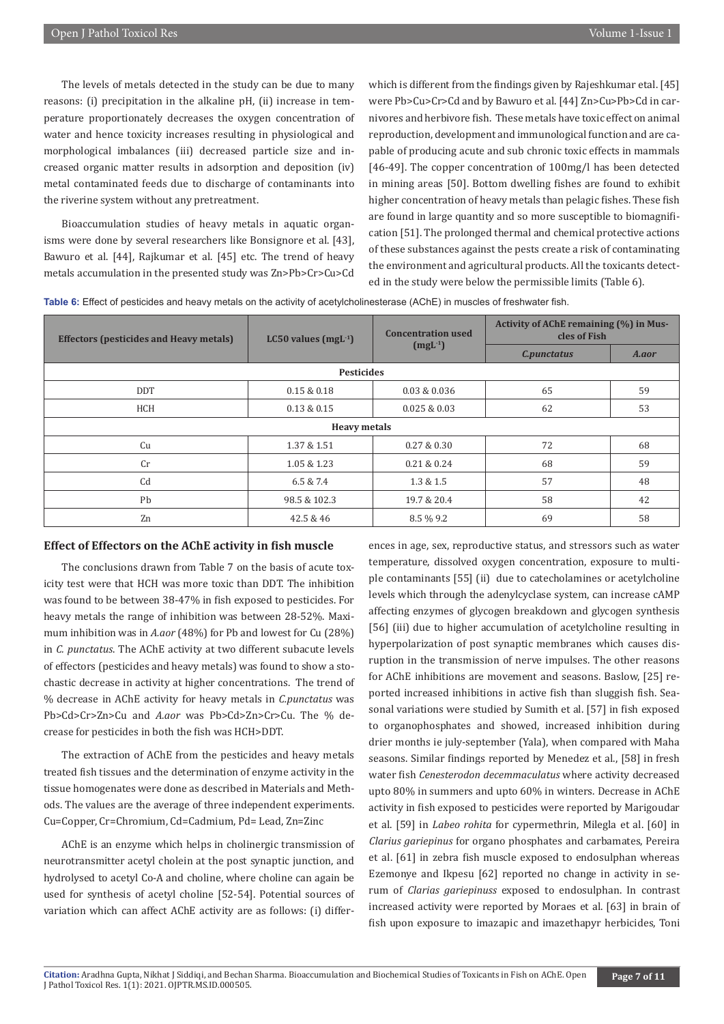The levels of metals detected in the study can be due to many reasons: (i) precipitation in the alkaline pH, (ii) increase in temperature proportionately decreases the oxygen concentration of water and hence toxicity increases resulting in physiological and morphological imbalances (iii) decreased particle size and increased organic matter results in adsorption and deposition (iv) metal contaminated feeds due to discharge of contaminants into the riverine system without any pretreatment.

Bioaccumulation studies of heavy metals in aquatic organisms were done by several researchers like Bonsignore et al. [43], Bawuro et al. [44], Rajkumar et al. [45] etc. The trend of heavy metals accumulation in the presented study was Zn>Pb>Cr>Cu>Cd which is different from the findings given by Rajeshkumar etal. [45] were Pb>Cu>Cr>Cd and by Bawuro et al. [44] Zn>Cu>Pb>Cd in carnivores and herbivore fish. These metals have toxic effect on animal reproduction, development and immunological function and are capable of producing acute and sub chronic toxic effects in mammals [46-49]. The copper concentration of 100mg/l has been detected in mining areas [50]. Bottom dwelling fishes are found to exhibit higher concentration of heavy metals than pelagic fishes. These fish are found in large quantity and so more susceptible to biomagnification [51]. The prolonged thermal and chemical protective actions of these substances against the pests create a risk of contaminating the environment and agricultural products. All the toxicants detected in the study were below the permissible limits (Table 6).

**Table 6:** Effect of pesticides and heavy metals on the activity of acetylcholinesterase (AChE) in muscles of freshwater fish.

| <b>Effectors (pesticides and Heavy metals)</b> | LC50 values $(mgl-1)$ | <b>Concentration used</b><br>$(mgl-1)$ | Activity of AChE remaining (%) in Mus-<br>cles of Fish |       |  |  |
|------------------------------------------------|-----------------------|----------------------------------------|--------------------------------------------------------|-------|--|--|
|                                                |                       |                                        | <i>C.punctatus</i>                                     | A.aor |  |  |
| <b>Pesticides</b>                              |                       |                                        |                                                        |       |  |  |
| <b>DDT</b>                                     | 0.15 & 0.18           | 0.03 & 0.036                           | 65                                                     | 59    |  |  |
| HCH                                            | 0.13 & 0.15           | 0.025 & 0.03                           | 62                                                     | 53    |  |  |
| <b>Heavy metals</b>                            |                       |                                        |                                                        |       |  |  |
| Cu                                             | 1.37 & 1.51           | 0.27 & 0.30                            | 72                                                     | 68    |  |  |
| Cr                                             | 1.05 & 1.23           | 0.21 & 0.24                            | 68                                                     | 59    |  |  |
| Cd                                             | 6.5 & 7.4             | 1.3 & 1.5                              | 57                                                     | 48    |  |  |
| Pb                                             | 98.5 & 102.3          | 19.7 & 20.4                            | 58                                                     | 42    |  |  |
| Zn                                             | 42.5 & 46             | 8.5 % 9.2                              | 69                                                     | 58    |  |  |

#### **Effect of Effectors on the AChE activity in fish muscle**

The conclusions drawn from Table 7 on the basis of acute toxicity test were that HCH was more toxic than DDT. The inhibition was found to be between 38-47% in fish exposed to pesticides. For heavy metals the range of inhibition was between 28-52%. Maximum inhibition was in *A.aor* (48%) for Pb and lowest for Cu (28%) in *C. punctatus*. The AChE activity at two different subacute levels of effectors (pesticides and heavy metals) was found to show a stochastic decrease in activity at higher concentrations. The trend of % decrease in AChE activity for heavy metals in *C.punctatus* was Pb>Cd>Cr>Zn>Cu and *A.aor* was Pb>Cd>Zn>Cr>Cu. The % decrease for pesticides in both the fish was HCH>DDT.

The extraction of AChE from the pesticides and heavy metals treated fish tissues and the determination of enzyme activity in the tissue homogenates were done as described in Materials and Methods. The values are the average of three independent experiments. Cu=Copper, Cr=Chromium, Cd=Cadmium, Pd= Lead, Zn=Zinc

AChE is an enzyme which helps in cholinergic transmission of neurotransmitter acetyl cholein at the post synaptic junction, and hydrolysed to acetyl Co-A and choline, where choline can again be used for synthesis of acetyl choline [52-54]. Potential sources of variation which can affect AChE activity are as follows: (i) differences in age, sex, reproductive status, and stressors such as water temperature, dissolved oxygen concentration, exposure to multiple contaminants [55] (ii) due to catecholamines or acetylcholine levels which through the adenylcyclase system, can increase cAMP affecting enzymes of glycogen breakdown and glycogen synthesis [56] (iii) due to higher accumulation of acetylcholine resulting in hyperpolarization of post synaptic membranes which causes disruption in the transmission of nerve impulses. The other reasons for AChE inhibitions are movement and seasons. Baslow, [25] reported increased inhibitions in active fish than sluggish fish. Seasonal variations were studied by Sumith et al. [57] in fish exposed to organophosphates and showed, increased inhibition during drier months ie july-september (Yala), when compared with Maha seasons. Similar findings reported by Menedez et al., [58] in fresh water fish *Cenesterodon decemmaculatus* where activity decreased upto 80% in summers and upto 60% in winters. Decrease in AChE activity in fish exposed to pesticides were reported by Marigoudar et al. [59] in *Labeo rohita* for cypermethrin, Milegla et al. [60] in *Clarius gariepinus* for organo phosphates and carbamates, Pereira et al. [61] in zebra fish muscle exposed to endosulphan whereas Ezemonye and Ikpesu [62] reported no change in activity in serum of *Clarias gariepinuss* exposed to endosulphan. In contrast increased activity were reported by Moraes et al. [63] in brain of fish upon exposure to imazapic and imazethapyr herbicides, Toni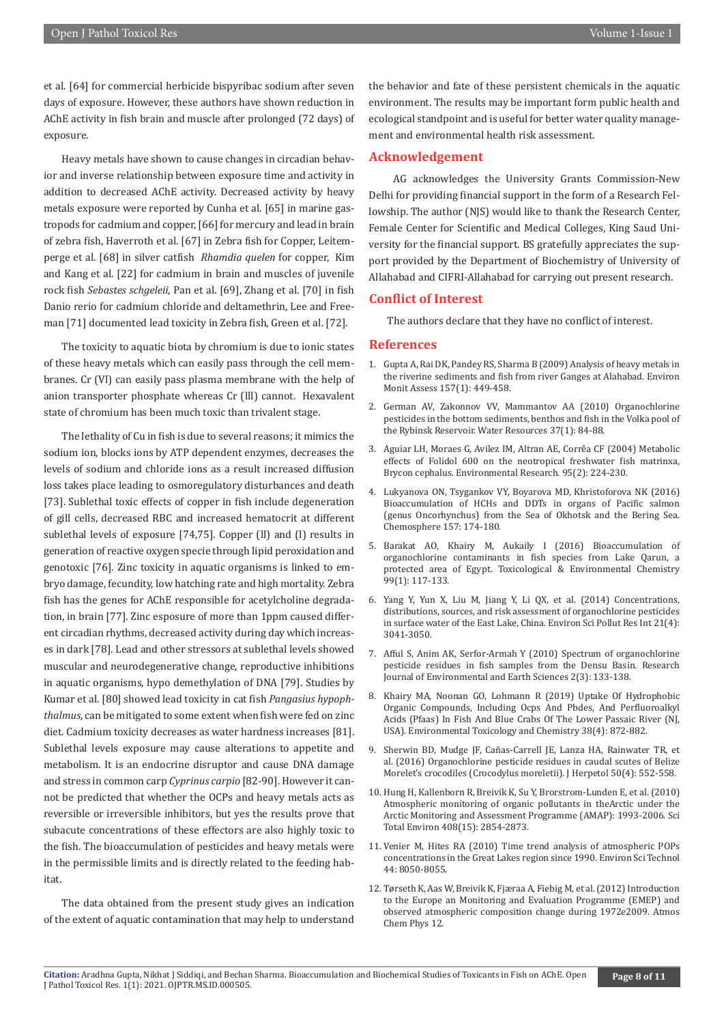et al. [64] for commercial herbicide bispyribac sodium after seven days of exposure. However, these authors have shown reduction in AChE activity in fish brain and muscle after prolonged (72 days) of exposure.

Heavy metals have shown to cause changes in circadian behavior and inverse relationship between exposure time and activity in addition to decreased AChE activity. Decreased activity by heavy metals exposure were reported by Cunha et al. [65] in marine gastropods for cadmium and copper, [66] for mercury and lead in brain of zebra fish, Haverroth et al. [67] in Zebra fish for Copper, Leitemperge et al. [68] in silver catfish *Rhamdia quelen* for copper, Kim and Kang et al. [22] for cadmium in brain and muscles of juvenile rock fish *Sebastes schgeleii*, Pan et al. [69], Zhang et al. [70] in fish Danio rerio for cadmium chloride and deltamethrin, Lee and Freeman [71] documented lead toxicity in Zebra fish, Green et al. [72].

The toxicity to aquatic biota by chromium is due to ionic states of these heavy metals which can easily pass through the cell membranes. Cr (Vl) can easily pass plasma membrane with the help of anion transporter phosphate whereas Cr (lll) cannot. Hexavalent state of chromium has been much toxic than trivalent stage.

The lethality of Cu in fish is due to several reasons; it mimics the sodium ion, blocks ions by ATP dependent enzymes, decreases the levels of sodium and chloride ions as a result increased diffusion loss takes place leading to osmoregulatory disturbances and death [73]. Sublethal toxic effects of copper in fish include degeneration of gill cells, decreased RBC and increased hematocrit at different sublethal levels of exposure [74,75]. Copper (ll) and (l) results in generation of reactive oxygen specie through lipid peroxidation and genotoxic [76]. Zinc toxicity in aquatic organisms is linked to embryo damage, fecundity, low hatching rate and high mortality. Zebra fish has the genes for AChE responsible for acetylcholine degradation, in brain [77]. Zinc esposure of more than 1ppm caused different circadian rhythms, decreased activity during day which increases in dark [78]. Lead and other stressors at sublethal levels showed muscular and neurodegenerative change, reproductive inhibitions in aquatic organisms, hypo demethylation of DNA [79]. Studies by Kumar et al. [80] showed lead toxicity in cat fish *Pangasius hypophthalmus*, can be mitigated to some extent when fish were fed on zinc diet. Cadmium toxicity decreases as water hardness increases [81]. Sublethal levels exposure may cause alterations to appetite and metabolism. It is an endocrine disruptor and cause DNA damage and stress in common carp *Cyprinus carpio* [82-90]. However it cannot be predicted that whether the OCPs and heavy metals acts as reversible or irreversible inhibitors, but yes the results prove that subacute concentrations of these effectors are also highly toxic to the fish. The bioaccumulation of pesticides and heavy metals were in the permissible limits and is directly related to the feeding habitat.

The data obtained from the present study gives an indication of the extent of aquatic contamination that may help to understand the behavior and fate of these persistent chemicals in the aquatic environment. The results may be important form public health and ecological standpoint and is useful for better water quality management and environmental health risk assessment.

### **Acknowledgement**

 AG acknowledges the University Grants Commission-New Delhi for providing financial support in the form of a Research Fellowship. The author (NJS) would like to thank the Research Center, Female Center for Scientific and Medical Colleges, King Saud University for the financial support. BS gratefully appreciates the support provided by the Department of Biochemistry of University of Allahabad and CIFRI-Allahabad for carrying out present research.

#### **Conflict of Interest**

The authors declare that they have no conflict of interest.

#### **References**

- 1. [Gupta A, Rai DK, Pandey RS, Sharma B \(2009\) Analysis of heavy metals in](https://pubmed.ncbi.nlm.nih.gov/18850290/) [the riverine sediments and fish from river Ganges at Alahabad. Environ](https://pubmed.ncbi.nlm.nih.gov/18850290/) [Monit Assess 157\(1\): 449-458.](https://pubmed.ncbi.nlm.nih.gov/18850290/)
- 2. German AV, Zakonnov VV, Mammantov AA (2010) Organochlorine pesticides in the bottom sediments, benthos and fish in the Volka pool of the Rybinsk Reservoir. Water Resources 37(1): 84-88.
- 3. [Aguiar LH, Moraes G, Avilez IM, Altran AE, Corrêa CF \(2004\) Metabolic](https://pubmed.ncbi.nlm.nih.gov/15147928/) [effects of Folidol 600 on the neotropical freshwater fish matrinxa,](https://pubmed.ncbi.nlm.nih.gov/15147928/) [Brycon cephalus. Environmental Research. 95\(2\): 224-230.](https://pubmed.ncbi.nlm.nih.gov/15147928/)
- 4. [Lukyanova ON, Tsygankov VY, Boyarova MD, Khristoforova NK \(2016\)](https://pubmed.ncbi.nlm.nih.gov/27219293/) [Bioaccumulation of HCHs and DDTs in organs of Pacific salmon](https://pubmed.ncbi.nlm.nih.gov/27219293/) [\(genus Oncorhynchus\) from the Sea of Okhotsk and the Bering Sea.](https://pubmed.ncbi.nlm.nih.gov/27219293/) [Chemosphere 157: 174-180.](https://pubmed.ncbi.nlm.nih.gov/27219293/)
- 5. Barakat AO, Khairy M, Aukaily I (2016) Bioaccumulation of organochlorine contaminants in fish species from Lake Qarun, a protected area of Egypt. Toxicological & Environmental Chemistry 99(1): 117-133.
- 6. [Yang Y, Yun X, Liu M, Jiang Y, Li QX, et al. \(2014\) Concentrations,](https://pubmed.ncbi.nlm.nih.gov/24177859/) [distributions, sources, and risk assessment of organochlorine pesticides](https://pubmed.ncbi.nlm.nih.gov/24177859/) [in surface water of the East Lake, China. Environ Sci Pollut Res Int 21\(4\):](https://pubmed.ncbi.nlm.nih.gov/24177859/) [3041-3050.](https://pubmed.ncbi.nlm.nih.gov/24177859/)
- 7. Afful S, Anim AK, Serfor-Armah Y (2010) Spectrum of organochlorine pesticide residues in fish samples from the Densu Basin. Research Journal of Environmental and Earth Sciences 2(3): 133-138.
- 8. [Khairy MA, Noonan GO, Lohmann R \(2019\) Uptake Of Hydrophobic](https://pubmed.ncbi.nlm.nih.gov/30614049/) [Organic Compounds, Including Ocps And Pbdes, And Perfluoroalkyl](https://pubmed.ncbi.nlm.nih.gov/30614049/) [Acids \(Pfaas\) In Fish And Blue Crabs Of The Lower Passaic River \(NJ,](https://pubmed.ncbi.nlm.nih.gov/30614049/) [USA\). Environmental Toxicology and Chemistry 38\(4\): 872-882.](https://pubmed.ncbi.nlm.nih.gov/30614049/)
- 9. Sherwin BD, Mudge JF, Cañas-Carrell JE, Lanza HA, Rainwater TR, et al. (2016) Organochlorine pesticide residues in caudal scutes of Belize Morelet's crocodiles (Crocodylus moreletii). J Herpetol 50(4): 552-558.
- 10. [Hung H, Kallenborn R, Breivik K, Su Y, Brorstrom-Lunden E, et al. \(2010\)](https://pubmed.ncbi.nlm.nih.gov/20004462/) [Atmospheric monitoring of organic pollutants in theArctic under the](https://pubmed.ncbi.nlm.nih.gov/20004462/) [Arctic Monitoring and Assessment Programme \(AMAP\): 1993-2006. Sci](https://pubmed.ncbi.nlm.nih.gov/20004462/) [Total Environ 408\(15\): 2854-2873.](https://pubmed.ncbi.nlm.nih.gov/20004462/)
- 11. Venier M, Hites RA (2010) Time trend analysis of atmospheric POPs concentrations in the Great Lakes region since 1990. Environ Sci Technol 44: 8050-8055.
- 12. Tørseth K, Aas W, Breivik K, Fjæraa A, Fiebig M, et al. (2012) Introduction to the Europe an Monitoring and Evaluation Programme (EMEP) and observed atmospheric composition change during 1972e2009. Atmos Chem Phys 12.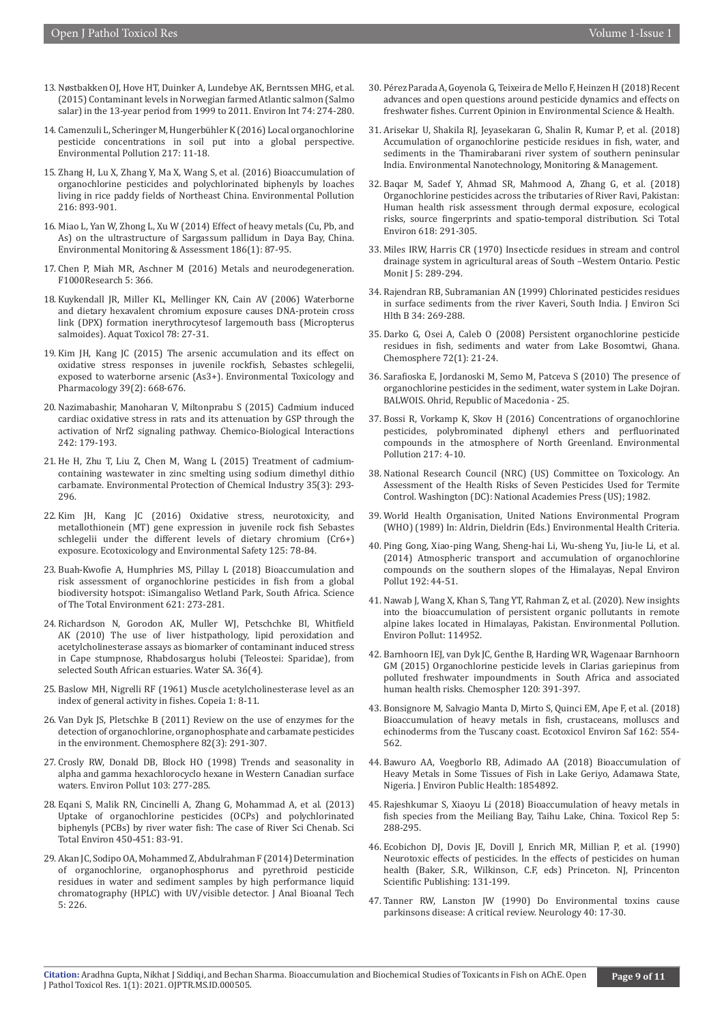- 13. [Nøstbakken OJ, Hove HT, Duinker A, Lundebye AK, Berntssen MHG, et al.](https://pubmed.ncbi.nlm.nih.gov/25454244/)  [\(2015\) Contaminant levels in Norwegian farmed Atlantic salmon \(Salmo](https://pubmed.ncbi.nlm.nih.gov/25454244/)  [salar\) in the 13-year period from 1999 to 2011. Environ Int 74: 274-280.](https://pubmed.ncbi.nlm.nih.gov/25454244/)
- 14. [Camenzuli L, Scheringer M, Hungerbühler K \(2016\) Local organochlorine](file:///E:\Journal%20Data\Toxicology-OJPTR\1.%20Article%20Data\2022\1.%20January\Sharma_OJPTR-22-RA-505\OJPTR-22-RA-505_W\ubmed.ncbi.nlm.nih.gov\26341663\)  [pesticide concentrations in soil put into a global perspective.](file:///E:\Journal%20Data\Toxicology-OJPTR\1.%20Article%20Data\2022\1.%20January\Sharma_OJPTR-22-RA-505\OJPTR-22-RA-505_W\ubmed.ncbi.nlm.nih.gov\26341663\)  [Environmental Pollution 217: 11-18.](file:///E:\Journal%20Data\Toxicology-OJPTR\1.%20Article%20Data\2022\1.%20January\Sharma_OJPTR-22-RA-505\OJPTR-22-RA-505_W\ubmed.ncbi.nlm.nih.gov\26341663\)
- 15. [Zhang H, Lu X, Zhang Y, Ma X, Wang S, et al. \(2016\) Bioaccumulation of](https://www.sciencedirect.com/science/article/abs/pii/S0269749116305528)  [organochlorine pesticides and polychlorinated biphenyls by loaches](https://www.sciencedirect.com/science/article/abs/pii/S0269749116305528)  [living in rice paddy fields of Northeast China. Environmental Pollution](https://www.sciencedirect.com/science/article/abs/pii/S0269749116305528)  [216: 893-901.](https://www.sciencedirect.com/science/article/abs/pii/S0269749116305528)
- 16. [Miao L, Yan W, Zhong L, Xu W \(2014\) Effect of heavy metals \(Cu, Pb, and](https://pubmed.ncbi.nlm.nih.gov/23982302/)  [As\) on the ultrastructure of Sargassum pallidum in Daya Bay, China.](https://pubmed.ncbi.nlm.nih.gov/23982302/)  [Environmental Monitoring & Assessment 186\(1\): 87-95.](https://pubmed.ncbi.nlm.nih.gov/23982302/)
- 17. [Chen P, Miah MR, Aschner M \(2016\) Metals and neurodegeneration.](https://pubmed.ncbi.nlm.nih.gov/27006759/)  [F1000Research 5: 366.](https://pubmed.ncbi.nlm.nih.gov/27006759/)
- 18. [Kuykendall JR, Miller KL, Mellinger KN, Cain AV \(2006\) Waterborne](https://pubmed.ncbi.nlm.nih.gov/16672167/)  [and dietary hexavalent chromium exposure causes DNA-protein cross](https://pubmed.ncbi.nlm.nih.gov/16672167/)  [link \(DPX\) formation inerythrocytesof largemouth bass \(Micropterus](https://pubmed.ncbi.nlm.nih.gov/16672167/)  [salmoides\). Aquat Toxicol 78: 27-31.](https://pubmed.ncbi.nlm.nih.gov/16672167/)
- 19. [Kim JH, Kang JC \(2015\) The arsenic accumulation and its effect on](https://pubmed.ncbi.nlm.nih.gov/25818984/)  [oxidative stress responses in juvenile rockfish, Sebastes schlegelii,](https://pubmed.ncbi.nlm.nih.gov/25818984/)  [exposed to waterborne arsenic \(As3+\). Environmental Toxicology and](https://pubmed.ncbi.nlm.nih.gov/25818984/)  [Pharmacology 39\(2\): 668-676.](https://pubmed.ncbi.nlm.nih.gov/25818984/)
- 20. [Nazimabashir, Manoharan V, Miltonprabu S \(2015\) Cadmium induced](https://pubmed.ncbi.nlm.nih.gov/26462792/)  [cardiac oxidative stress in rats and its attenuation by GSP through the](https://pubmed.ncbi.nlm.nih.gov/26462792/)  [activation of Nrf2 signaling pathway. Chemico-Biological Interactions](https://pubmed.ncbi.nlm.nih.gov/26462792/)  [242: 179-193.](https://pubmed.ncbi.nlm.nih.gov/26462792/)
- 21. He H, Zhu T, Liu Z, Chen M, Wang L (2015) Treatment of cadmiumcontaining wastewater in zinc smelting using sodium dimethyl dithio carbamate. Environmental Protection of Chemical Industry 35(3): 293- 296.
- 22. [Kim JH, Kang JC \(2016\) Oxidative stress, neurotoxicity, and](https://pubmed.ncbi.nlm.nih.gov/26680530/)  [metallothionein \(MT\) gene expression in juvenile rock fish Sebastes](https://pubmed.ncbi.nlm.nih.gov/26680530/)  [schlegelii under the different levels of dietary chromium \(Cr6+\)](https://pubmed.ncbi.nlm.nih.gov/26680530/)  [exposure. Ecotoxicology and Environmental Safety 125: 78-84.](https://pubmed.ncbi.nlm.nih.gov/26680530/)
- 23. [Buah-Kwofie A, Humphries MS, Pillay L \(2018\) Bioaccumulation and](https://pubmed.ncbi.nlm.nih.gov/29186702/)  [risk assessment of organochlorine pesticides in fish from a global](https://pubmed.ncbi.nlm.nih.gov/29186702/)  [biodiversity hotspot: iSimangaliso Wetland Park, South Africa. Science](https://pubmed.ncbi.nlm.nih.gov/29186702/)  [of The Total Environment 621: 273-281.](https://pubmed.ncbi.nlm.nih.gov/29186702/)
- 24. Richardson N, Gorodon AK, Muller WJ, Petschchke Bl, Whitfield AK (2010) The use of liver histpathology, lipid peroxidation and acetylcholinesterase assays as biomarker of contaminant induced stress in Cape stumpnose, Rhabdosargus holubi (Teleostei: Sparidae), from selected South African estuaries. Water SA. 36(4).
- 25. Baslow MH, Nigrelli RF (1961) Muscle acetylcholinesterase level as an index of general activity in fishes. Copeia 1: 8-11.
- 26. [Van Dyk JS, Pletschke B \(2011\) Review on the use of enzymes for the](https://pubmed.ncbi.nlm.nih.gov/21055790/)  [detection of organochlorine, organophosphate and carbamate pesticides](https://pubmed.ncbi.nlm.nih.gov/21055790/)  [in the environment. Chemosphere 82\(3\): 291-307.](https://pubmed.ncbi.nlm.nih.gov/21055790/)
- 27. Crosly RW, Donald DB, Block HO (1998) Trends and seasonality in alpha and gamma hexachlorocyclo hexane in Western Canadian surface waters. Environ Pollut 103: 277-285.
- 28. [Eqani S, Malik RN, Cincinelli A, Zhang G, Mohammad A, et al. \(2013\)](https://pubmed.ncbi.nlm.nih.gov/23467179/)  [Uptake of organochlorine pesticides \(OCPs\) and polychlorinated](https://pubmed.ncbi.nlm.nih.gov/23467179/)  [biphenyls \(PCBs\) by river water fish: The case of River Sci Chenab. Sci](https://pubmed.ncbi.nlm.nih.gov/23467179/)  [Total Environ 450-451: 83-91.](https://pubmed.ncbi.nlm.nih.gov/23467179/)
- 29. Akan JC, Sodipo OA, Mohammed Z, Abdulrahman F (2014) Determination of organochlorine, organophosphorus and pyrethroid pesticide residues in water and sediment samples by high performance liquid chromatography (HPLC) with UV/visible detector. J Anal Bioanal Tech 5: 226.
- 30. Pérez Parada A, Goyenola G, Teixeira de Mello F, Heinzen H (2018) Recent advances and open questions around pesticide dynamics and effects on freshwater fishes. Current Opinion in Environmental Science & Health.
- 31. Arisekar U, Shakila RJ, Jeyasekaran G, Shalin R, Kumar P, et al. (2018) Accumulation of organochlorine pesticide residues in fish, water, and sediments in the Thamirabarani river system of southern peninsular India. Environmental Nanotechnology, Monitoring & Management.
- 32. [Baqar M, Sadef Y, Ahmad SR, Mahmood A, Zhang G, et al. \(2018\)](https://pubmed.ncbi.nlm.nih.gov/29131997/) [Organochlorine pesticides across the tributaries of River Ravi, Pakistan:](https://pubmed.ncbi.nlm.nih.gov/29131997/) [Human health risk assessment through dermal exposure, ecological](https://pubmed.ncbi.nlm.nih.gov/29131997/) [risks, source fingerprints and spatio-temporal distribution. Sci Total](https://pubmed.ncbi.nlm.nih.gov/29131997/) [Environ 618: 291-305.](https://pubmed.ncbi.nlm.nih.gov/29131997/)
- 33. Miles IRW, Harris CR (1970) Insecticde residues in stream and control drainage system in agricultural areas of South –Western Ontario. Pestic Monit J 5: 289-294.
- 34. [Rajendran RB, Subramanian AN \(1999\) Chlorinated pesticides residues](https://pubmed.ncbi.nlm.nih.gov/10192957/) [in surface sediments from the river Kaveri, South India. J Environ Sci](https://pubmed.ncbi.nlm.nih.gov/10192957/) [Hlth B 34: 269-288.](https://pubmed.ncbi.nlm.nih.gov/10192957/)
- 35. [Darko G, Osei A, Caleb O \(2008\) Persistent organochlorine pesticide](https://www.sciencedirect.com/science/article/abs/pii/S0045653508002701) [residues in fish, sediments and water from Lake Bosomtwi, Ghana.](https://www.sciencedirect.com/science/article/abs/pii/S0045653508002701) [Chemosphere 72\(1\): 21-24.](https://www.sciencedirect.com/science/article/abs/pii/S0045653508002701)
- 36. Sarafioska E, Jordanoski M, Semo M, Patceva S (2010) The presence of organochlorine pesticides in the sediment, water system in Lake Dojran. BALWOIS. Ohrid, Republic of Macedonia - 25.
- 37. [Bossi R, Vorkamp K, Skov H \(2016\) Concentrations of organochlorine](https://www.sciencedirect.com/science/article/abs/pii/S0269749115302402) [pesticides, polybrominated diphenyl ethers and perfluorinated](https://www.sciencedirect.com/science/article/abs/pii/S0269749115302402) [compounds in the atmosphere of North Greenland. Environmental](https://www.sciencedirect.com/science/article/abs/pii/S0269749115302402) [Pollution 217: 4-10.](https://www.sciencedirect.com/science/article/abs/pii/S0269749115302402)
- 38. National Research Council (NRC) (US) Committee on Toxicology. An Assessment of the Health Risks of Seven Pesticides Used for Termite Control. Washington (DC): National Academies Press (US); 1982.
- 39. World Health Organisation, United Nations Environmental Program (WHO) (1989) In: Aldrin, Dieldrin (Eds.) Environmental Health Criteria.
- 40. [Ping Gong, Xiao-ping Wang, Sheng-hai Li, Wu-sheng Yu, Jiu-le Li, et al.](https://pubmed.ncbi.nlm.nih.gov/24880535/) [\(2014\) Atmospheric transport and accumulation of organochlorine](https://pubmed.ncbi.nlm.nih.gov/24880535/) [compounds on the southern slopes of the Himalayas, Nepal Environ](https://pubmed.ncbi.nlm.nih.gov/24880535/) [Pollut 192: 44-51.](https://pubmed.ncbi.nlm.nih.gov/24880535/)
- 41. [Nawab J, Wang X, Khan S, Tang YT, Rahman Z, et al. \(2020\). New insights](https://pubmed.ncbi.nlm.nih.gov/32933786/) [into the bioaccumulation of persistent organic pollutants in remote](https://pubmed.ncbi.nlm.nih.gov/32933786/) [alpine lakes located in Himalayas, Pakistan. Environmental Pollution.](https://pubmed.ncbi.nlm.nih.gov/32933786/) [Environ Pollut: 114952.](https://pubmed.ncbi.nlm.nih.gov/32933786/)
- 42. [Barnhoorn IEJ, van Dyk JC, Genthe B, Harding WR, Wagenaar Barnhoorn](https://pubmed.ncbi.nlm.nih.gov/25214015/) [GM \(2015\) Organochlorine pesticide levels in Clarias gariepinus from](https://pubmed.ncbi.nlm.nih.gov/25214015/) [polluted freshwater impoundments in South Africa and associated](https://pubmed.ncbi.nlm.nih.gov/25214015/) [human health risks. Chemospher 120: 391-397.](https://pubmed.ncbi.nlm.nih.gov/25214015/)
- 43. [Bonsignore M, Salvagio Manta D, Mirto S, Quinci EM, Ape F, et al. \(2018\)](https://pubmed.ncbi.nlm.nih.gov/30029101/) [Bioaccumulation of heavy metals in fish, crustaceans, molluscs and](https://pubmed.ncbi.nlm.nih.gov/30029101/) [echinoderms from the Tuscany coast. Ecotoxicol Environ Saf 162: 554-](https://pubmed.ncbi.nlm.nih.gov/30029101/) [562.](https://pubmed.ncbi.nlm.nih.gov/30029101/)
- 44. [Bawuro AA, Voegborlo RB, Adimado AA \(2018\) Bioaccumulation of](https://pubmed.ncbi.nlm.nih.gov/29887895/) [Heavy Metals in Some Tissues of Fish in Lake Geriyo, Adamawa State,](https://pubmed.ncbi.nlm.nih.gov/29887895/) [Nigeria. J Environ Public Health: 1854892.](https://pubmed.ncbi.nlm.nih.gov/29887895/)
- 45. [Rajeshkumar S, Xiaoyu Li \(2018\) Bioaccumulation of heavy metals in](https://pubmed.ncbi.nlm.nih.gov/29511642/) [fish species from the Meiliang Bay, Taihu Lake, China. Toxicol Rep 5:](https://pubmed.ncbi.nlm.nih.gov/29511642/) [288-295.](https://pubmed.ncbi.nlm.nih.gov/29511642/)
- 46. Ecobichon DJ, Dovis JE, Dovill J, Enrich MR, Millian P, et al. (1990) Neurotoxic effects of pesticides. In the effects of pesticides on human health (Baker, S.R., Wilkinson, C.F, eds) Princeton. NJ, Princenton Scientific Publishing: 131-199.
- 47. Tanner RW, Lanston JW (1990) Do Environmental toxins cause parkinsons disease: A critical review. Neurology 40: 17-30.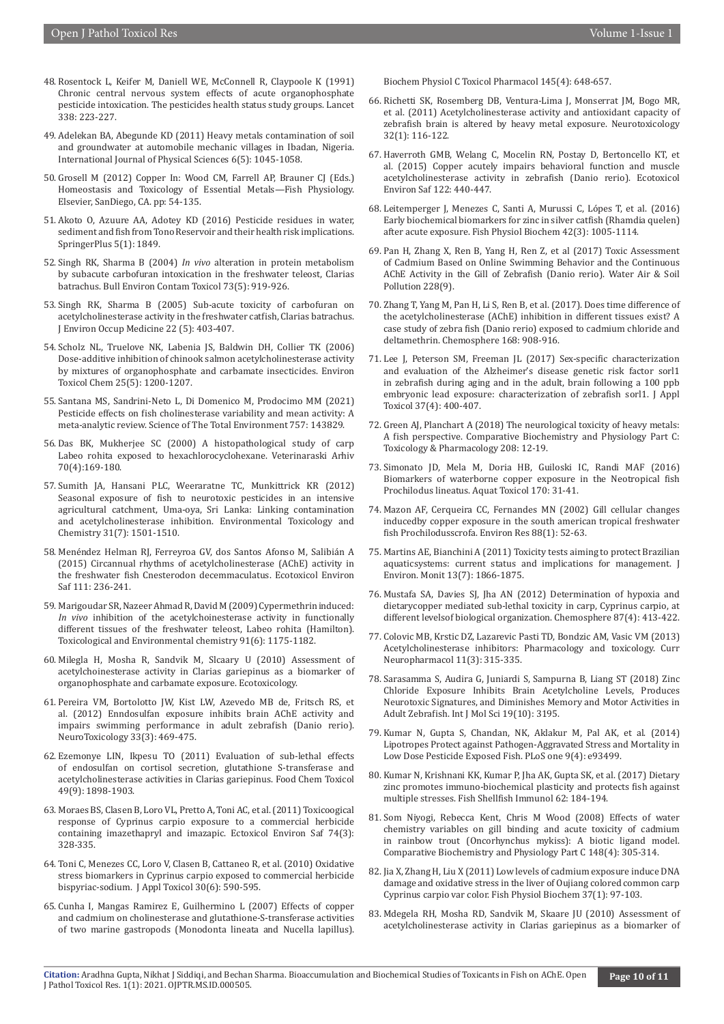- 48. Rosentock L, Keifer M, Daniell WE, McConnell R, Claypoole K (1991) Chronic central nervous system effects of acute organophosphate pesticide intoxication. The pesticides health status study groups. Lancet 338: 223-227.
- 49. Adelekan BA, Abegunde KD (2011) Heavy metals contamination of soil and groundwater at automobile mechanic villages in Ibadan, Nigeria. International Journal of Physical Sciences 6(5): 1045-1058.
- 50. Grosell M (2012) Copper In: Wood CM, Farrell AP, Brauner CJ (Eds.) Homeostasis and Toxicology of Essential Metals—Fish Physiology. Elsevier, SanDiego, CA. pp: 54-135.
- 51. [Akoto O, Azuure AA, Adotey KD \(2016\) Pesticide residues in water,](https://pubmed.ncbi.nlm.nih.gov/27818887/)  [sediment and fish from Tono Reservoir and their health risk implications.](https://pubmed.ncbi.nlm.nih.gov/27818887/)  [SpringerPlus 5\(1\): 1849.](https://pubmed.ncbi.nlm.nih.gov/27818887/)
- 52. Singh RK, Sharma B (2004) *In vivo* alteration in protein metabolism by subacute carbofuran intoxication in the freshwater teleost, Clarias batrachus. Bull Environ Contam Toxicol 73(5): 919-926.
- 53. Singh RK, Sharma B (2005) Sub-acute toxicity of carbofuran on acetylcholinesterase activity in the freshwater catfish, Clarias batrachus. J Environ Occup Medicine 22 (5): 403-407.
- 54. [Scholz NL, Truelove NK, Labenia JS, Baldwin DH, Collier TK \(2006\)](https://pubmed.ncbi.nlm.nih.gov/16704049/)  [Dose-additive inhibition of chinook salmon acetylcholinesterase activity](https://pubmed.ncbi.nlm.nih.gov/16704049/)  [by mixtures of organophosphate and carbamate insecticides. Environ](https://pubmed.ncbi.nlm.nih.gov/16704049/)  [Toxicol Chem 25\(5\): 1200-1207.](https://pubmed.ncbi.nlm.nih.gov/16704049/)
- 55. [Santana MS, Sandrini-Neto L, Di Domenico M, Prodocimo MM \(2021\)](https://pubmed.ncbi.nlm.nih.gov/33248758/)  [Pesticide effects on fish cholinesterase variability and mean activity: A](https://pubmed.ncbi.nlm.nih.gov/33248758/)  [meta-analytic review. Science of The Total Environment 757: 143829.](https://pubmed.ncbi.nlm.nih.gov/33248758/)
- 56. Das BK, Mukherjee SC (2000) A histopathological study of carp Labeo rohita exposed to hexachlorocyclohexane. Veterinaraski Arhiv 70(4):169-180.
- 57. [Sumith JA, Hansani PLC, Weeraratne TC, Munkittrick KR \(2012\)](https://pubmed.ncbi.nlm.nih.gov/22504853/)  [Seasonal exposure of fish to neurotoxic pesticides in an intensive](https://pubmed.ncbi.nlm.nih.gov/22504853/)  [agricultural catchment, Uma-oya, Sri Lanka: Linking contamination](https://pubmed.ncbi.nlm.nih.gov/22504853/)  [and acetylcholinesterase inhibition. Environmental Toxicology and](https://pubmed.ncbi.nlm.nih.gov/22504853/)  [Chemistry 31\(7\): 1501-1510.](https://pubmed.ncbi.nlm.nih.gov/22504853/)
- 58. [Menéndez Helman RJ, Ferreyroa GV, dos Santos Afonso M, Salibián A](https://pubmed.ncbi.nlm.nih.gov/25450939/)  [\(2015\) Circannual rhythms of acetylcholinesterase \(AChE\) activity in](https://pubmed.ncbi.nlm.nih.gov/25450939/)  [the freshwater fish Cnesterodon decemmaculatus. Ecotoxicol Environ](https://pubmed.ncbi.nlm.nih.gov/25450939/)  [Saf 111: 236-241.](https://pubmed.ncbi.nlm.nih.gov/25450939/)
- 59. Marigoudar SR, Nazeer Ahmad R, David M (2009) Cypermethrin induced: *In vivo* inhibition of the acetylchoinesterase activity in functionally different tissues of the freshwater teleost, Labeo rohita (Hamilton). Toxicological and Environmental chemistry 91(6): 1175-1182.
- 60. Milegla H, Mosha R, Sandvik M, Slcaary U (2010) Assessment of acetylchoinesterase activity in Clarias gariepinus as a biomarker of organophosphate and carbamate exposure. Ecotoxicology.
- 61. [Pereira VM, Bortolotto JW, Kist LW, Azevedo MB de, Fritsch RS, et](https://www.sciencedirect.com/science/article/pii/S0161813X1200068X)  [al. \(2012\) Enndosulfan exposure inhibits brain AChE activity and](https://www.sciencedirect.com/science/article/pii/S0161813X1200068X)  [impairs swimming performance in adult zebrafish \(Danio rerio\).](https://www.sciencedirect.com/science/article/pii/S0161813X1200068X)  [NeuroToxicology 33\(3\): 469-475.](https://www.sciencedirect.com/science/article/pii/S0161813X1200068X)
- 62. [Ezemonye LIN, Ikpesu TO \(2011\) Evaluation of sub-lethal effects](https://pubmed.ncbi.nlm.nih.gov/21056611/)  [of endosulfan on cortisol secretion, glutathione S-transferase and](https://pubmed.ncbi.nlm.nih.gov/21056611/)  [acetylcholinesterase activities in Clarias gariepinus. Food Chem Toxicol](https://pubmed.ncbi.nlm.nih.gov/21056611/)  [49\(9\): 1898-1903.](https://pubmed.ncbi.nlm.nih.gov/21056611/)
- 63. [Moraes BS, Clasen B, Loro VL, Pretto A, Toni AC, et al. \(2011\) Toxicoogical](https://pubmed.ncbi.nlm.nih.gov/21095003/)  [response of Cyprinus carpio exposure to a commercial herbicide](https://pubmed.ncbi.nlm.nih.gov/21095003/)  [containing imazethapryl and imazapic. Ectoxicol Environ Saf 74\(3\):](https://pubmed.ncbi.nlm.nih.gov/21095003/)  [328-335.](https://pubmed.ncbi.nlm.nih.gov/21095003/)
- 64. [Toni C, Menezes CC, Loro V, Clasen B, Cattaneo R, et al. \(2010\) Oxidative](https://pubmed.ncbi.nlm.nih.gov/20809548/)  [stress biomarkers in Cyprinus carpio exposed to commercial herbicide](https://pubmed.ncbi.nlm.nih.gov/20809548/)  [bispyriac-sodium. J Appl Toxicol 30\(6\): 590-595.](https://pubmed.ncbi.nlm.nih.gov/20809548/)
- 65. [Cunha I, Mangas Ramirez E, Guilhermino L \(2007\) Effects of copper](https://pubmed.ncbi.nlm.nih.gov/17433783/)  [and cadmium on cholinesterase and glutathione-S-transferase activities](https://pubmed.ncbi.nlm.nih.gov/17433783/)  [of two marine gastropods \(Monodonta lineata and Nucella lapillus\).](https://pubmed.ncbi.nlm.nih.gov/17433783/)

[Biochem Physiol C Toxicol Pharmacol 145\(4\): 648-657.](https://pubmed.ncbi.nlm.nih.gov/17433783/)

- 66. [Richetti SK, Rosemberg DB, Ventura-Lima J, Monserrat JM, Bogo MR,](https://pubmed.ncbi.nlm.nih.gov/21074552/) [et al. \(2011\) Acetylcholinesterase activity and antioxidant capacity of](https://pubmed.ncbi.nlm.nih.gov/21074552/) [zebrafish brain is altered by heavy metal exposure. Neurotoxicology](https://pubmed.ncbi.nlm.nih.gov/21074552/) [32\(1\): 116-122.](https://pubmed.ncbi.nlm.nih.gov/21074552/)
- 67. [Haverroth GMB, Welang C, Mocelin RN, Postay D, Bertoncello KT, et](https://pubmed.ncbi.nlm.nih.gov/26386335/) [al. \(2015\) Copper acutely impairs behavioral function and muscle](https://pubmed.ncbi.nlm.nih.gov/26386335/) [acetylcholinesterase activity in zebrafish \(Danio rerio\). Ecotoxicol](https://pubmed.ncbi.nlm.nih.gov/26386335/) [Environ Saf 122: 440-447.](https://pubmed.ncbi.nlm.nih.gov/26386335/)
- 68. [Leitemperger J, Menezes C, Santi A, Murussi C, Lópes T, et al. \(2016\)](https://pubmed.ncbi.nlm.nih.gov/26744269/) [Early biochemical biomarkers for zinc in silver catfish \(Rhamdia quelen\)](https://pubmed.ncbi.nlm.nih.gov/26744269/) [after acute exposure. Fish Physiol Biochem 42\(3\): 1005-1114.](https://pubmed.ncbi.nlm.nih.gov/26744269/)
- 69. Pan H, Zhang X, Ren B, Yang H, Ren Z, et al (2017) Toxic Assessment of Cadmium Based on Online Swimming Behavior and the Continuous AChE Activity in the Gill of Zebrafish (Danio rerio). Water Air & Soil Pollution 228(9).
- 70. [Zhang T, Yang M, Pan H, Li S, Ren B, et al. \(2017\). Does time difference of](https://pubmed.ncbi.nlm.nih.gov/27825714/) [the acetylcholinesterase \(AChE\) inhibition in different tissues exist? A](https://pubmed.ncbi.nlm.nih.gov/27825714/) [case study of zebra fish \(Danio rerio\) exposed to cadmium chloride and](https://pubmed.ncbi.nlm.nih.gov/27825714/) [deltamethrin. Chemosphere 168: 908-916.](https://pubmed.ncbi.nlm.nih.gov/27825714/)
- 71. [Lee J, Peterson SM, Freeman JL \(2017\) Sex-specific characterization](https://pubmed.ncbi.nlm.nih.gov/27535807/) [and evaluation of the Alzheimer's disease genetic risk factor sorl1](https://pubmed.ncbi.nlm.nih.gov/27535807/) [in zebrafish during aging and in the adult, brain following a 100 ppb](https://pubmed.ncbi.nlm.nih.gov/27535807/) [embryonic lead exposure: characterization of zebrafish sorl1. J Appl](https://pubmed.ncbi.nlm.nih.gov/27535807/) [Toxicol 37\(4\): 400-407.](https://pubmed.ncbi.nlm.nih.gov/27535807/)
- 72. [Green AJ, Planchart A \(2018\) The neurological toxicity of heavy metals:](https://pubmed.ncbi.nlm.nih.gov/29199130/) [A fish perspective. Comparative Biochemistry and Physiology Part C:](https://pubmed.ncbi.nlm.nih.gov/29199130/) [Toxicology & Pharmacology 208: 12-19.](https://pubmed.ncbi.nlm.nih.gov/29199130/)
- 73. [Simonato JD, Mela M, Doria HB, Guiloski IC, Randi MAF \(2016\)](https://pubmed.ncbi.nlm.nih.gov/26613196/) [Biomarkers of waterborne copper exposure in the Neotropical fish](https://pubmed.ncbi.nlm.nih.gov/26613196/) [Prochilodus lineatus. Aquat Toxicol 170: 31-41.](https://pubmed.ncbi.nlm.nih.gov/26613196/)
- 74. [Mazon AF, Cerqueira CC, Fernandes MN \(2002\) Gill cellular changes](https://pubmed.ncbi.nlm.nih.gov/11896669/) [inducedby copper exposure in the south american tropical freshwater](https://pubmed.ncbi.nlm.nih.gov/11896669/) [fish Prochilodusscrofa. Environ Res 88\(1\): 52-63.](https://pubmed.ncbi.nlm.nih.gov/11896669/)
- 75. [Martins AE, Bianchini A \(2011\) Toxicity tests aiming to protect Brazilian](https://pubmed.ncbi.nlm.nih.gov/21643562/) [aquaticsystems: current status and implications for management. J](https://pubmed.ncbi.nlm.nih.gov/21643562/) [Environ. Monit 13\(7\): 1866-1875.](https://pubmed.ncbi.nlm.nih.gov/21643562/)
- 76. [Mustafa SA, Davies SJ, Jha AN \(2012\) Determination of hypoxia and](https://pubmed.ncbi.nlm.nih.gov/22239943/) [dietarycopper mediated sub-lethal toxicity in carp, Cyprinus carpio, at](https://pubmed.ncbi.nlm.nih.gov/22239943/) [different levelsof biological organization. Chemosphere 87\(4\): 413-422.](https://pubmed.ncbi.nlm.nih.gov/22239943/)
- 77. [Colovic MB, Krstic DZ, Lazarevic Pasti TD, Bondzic AM, Vasic VM \(2013\)](https://pubmed.ncbi.nlm.nih.gov/24179466/) [Acetylcholinesterase inhibitors: Pharmacology and toxicology. Curr](https://pubmed.ncbi.nlm.nih.gov/24179466/) [Neuropharmacol 11\(3\): 315-335.](https://pubmed.ncbi.nlm.nih.gov/24179466/)
- 78. [Sarasamma S, Audira G, Juniardi S, Sampurna B, Liang ST \(2018\) Zinc](https://pubmed.ncbi.nlm.nih.gov/30332818/) [Chloride Exposure Inhibits Brain Acetylcholine Levels, Produces](https://pubmed.ncbi.nlm.nih.gov/30332818/) [Neurotoxic Signatures, and Diminishes Memory and Motor Activities in](https://pubmed.ncbi.nlm.nih.gov/30332818/) [Adult Zebrafish. Int J Mol Sci 19\(10\): 3195.](https://pubmed.ncbi.nlm.nih.gov/30332818/)
- 79. [Kumar N, Gupta S, Chandan, NK, Aklakur M, Pal AK, et al. \(2014\)](https://pubmed.ncbi.nlm.nih.gov/24690771/) [Lipotropes Protect against Pathogen-Aggravated Stress and Mortality in](https://pubmed.ncbi.nlm.nih.gov/24690771/) [Low Dose Pesticide Exposed Fish. PLoS one 9\(4\): e93499.](https://pubmed.ncbi.nlm.nih.gov/24690771/)
- 80. [Kumar N, Krishnani KK, Kumar P, Jha AK, Gupta SK, et al. \(2017\) Dietary](https://pubmed.ncbi.nlm.nih.gov/28108338/) [zinc promotes immuno-biochemical plasticity and protects fish against](https://pubmed.ncbi.nlm.nih.gov/28108338/) [multiple stresses. Fish Shellfish Immunol 62: 184-194.](https://pubmed.ncbi.nlm.nih.gov/28108338/)
- 81. [Som Niyogi, Rebecca Kent, Chris M Wood \(2008\) Effects of water](https://pubmed.ncbi.nlm.nih.gov/18577468/) [chemistry variables on gill binding and acute toxicity of cadmium](https://pubmed.ncbi.nlm.nih.gov/18577468/) [in rainbow trout \(Oncorhynchus mykiss\): A biotic ligand model.](https://pubmed.ncbi.nlm.nih.gov/18577468/) [Comparative Biochemistry and Physiology Part C 148\(4\): 305-314.](https://pubmed.ncbi.nlm.nih.gov/18577468/)
- 82. [Jia X, Zhang H, Liu X \(2011\) Low levels of cadmium exposure induce DNA](https://pubmed.ncbi.nlm.nih.gov/20658319/) [damage and oxidative stress in the liver of Oujiang colored common carp](https://pubmed.ncbi.nlm.nih.gov/20658319/) [Cyprinus carpio var color. Fish Physiol Biochem 37\(1\): 97-103.](https://pubmed.ncbi.nlm.nih.gov/20658319/)
- 83. [Mdegela RH, Mosha RD, Sandvik M, Skaare JU \(2010\) Assessment of](https://pubmed.ncbi.nlm.nih.gov/20169407/) [acetylcholinesterase activity in Clarias gariepinus as a biomarker of](https://pubmed.ncbi.nlm.nih.gov/20169407/)